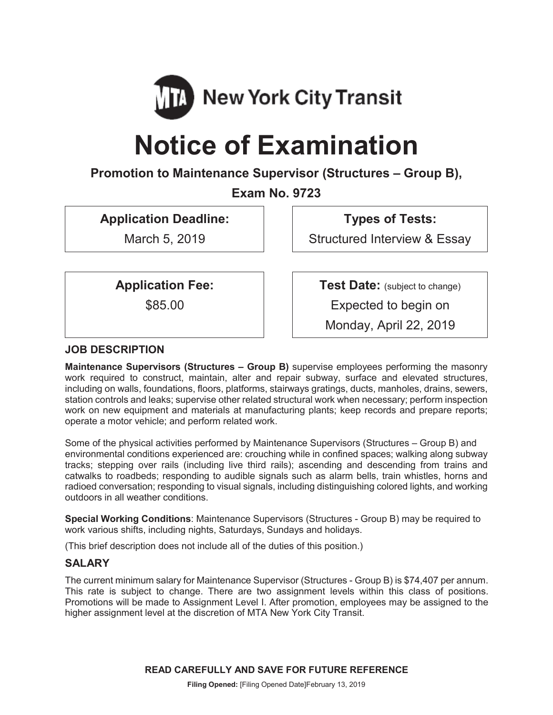

# **Notice of Examination**

## **Promotion to Maintenance Supervisor (Structures – Group B),**

**Exam No. 9723**

**Application Deadline:**

March 5, 2019

**Types of Tests:**

Structured Interview & Essay

**Application Fee:**

\$85.00

**Test Date:** (subject to change)

Expected to begin on

Monday, April 22, 2019

## **JOB DESCRIPTION**

**Maintenance Supervisors (Structures – Group B)** supervise employees performing the masonry work required to construct, maintain, alter and repair subway, surface and elevated structures, including on walls, foundations, floors, platforms, stairways gratings, ducts, manholes, drains, sewers, station controls and leaks; supervise other related structural work when necessary; perform inspection work on new equipment and materials at manufacturing plants; keep records and prepare reports; operate a motor vehicle; and perform related work.

Some of the physical activities performed by Maintenance Supervisors (Structures – Group B) and environmental conditions experienced are: crouching while in confined spaces; walking along subway tracks; stepping over rails (including live third rails); ascending and descending from trains and catwalks to roadbeds; responding to audible signals such as alarm bells, train whistles, horns and radioed conversation; responding to visual signals, including distinguishing colored lights, and working outdoors in all weather conditions.

**Special Working Conditions**: Maintenance Supervisors (Structures - Group B) may be required to work various shifts, including nights, Saturdays, Sundays and holidays.

(This brief description does not include all of the duties of this position.)

#### **SALARY**

The current minimum salary for Maintenance Supervisor (Structures - Group B) is \$74,407 per annum. This rate is subject to change. There are two assignment levels within this class of positions. Promotions will be made to Assignment Level I. After promotion, employees may be assigned to the higher assignment level at the discretion of MTA New York City Transit.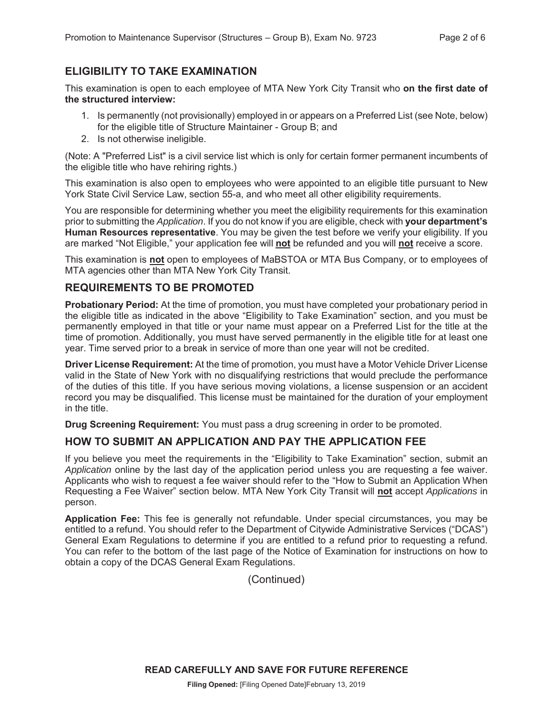## **ELIGIBILITY TO TAKE EXAMINATION**

This examination is open to each employee of MTA New York City Transit who **on the first date of the structured interview:**

- 1. Is permanently (not provisionally) employed in or appears on a Preferred List (see Note, below) for the eligible title of Structure Maintainer - Group B; and
- 2. Is not otherwise ineligible.

(Note: A "Preferred List" is a civil service list which is only for certain former permanent incumbents of the eligible title who have rehiring rights.)

This examination is also open to employees who were appointed to an eligible title pursuant to New York State Civil Service Law, section 55-a, and who meet all other eligibility requirements.

You are responsible for determining whether you meet the eligibility requirements for this examination prior to submitting the *Application*. If you do not know if you are eligible, check with **your department's Human Resources representative**. You may be given the test before we verify your eligibility. If you are marked "Not Eligible," your application fee will **not** be refunded and you will **not** receive a score.

This examination is **not** open to employees of MaBSTOA or MTA Bus Company, or to employees of MTA agencies other than MTA New York City Transit.

#### **REQUIREMENTS TO BE PROMOTED**

**Probationary Period:** At the time of promotion, you must have completed your probationary period in the eligible title as indicated in the above "Eligibility to Take Examination" section, and you must be permanently employed in that title or your name must appear on a Preferred List for the title at the time of promotion. Additionally, you must have served permanently in the eligible title for at least one year. Time served prior to a break in service of more than one year will not be credited.

**Driver License Requirement:** At the time of promotion, you must have a Motor Vehicle Driver License valid in the State of New York with no disqualifying restrictions that would preclude the performance of the duties of this title. If you have serious moving violations, a license suspension or an accident record you may be disqualified. This license must be maintained for the duration of your employment in the title.

**Drug Screening Requirement:** You must pass a drug screening in order to be promoted.

#### **HOW TO SUBMIT AN APPLICATION AND PAY THE APPLICATION FEE**

If you believe you meet the requirements in the "Eligibility to Take Examination" section, submit an *Application* online by the last day of the application period unless you are requesting a fee waiver. Applicants who wish to request a fee waiver should refer to the "How to Submit an Application When Requesting a Fee Waiver" section below. MTA New York City Transit will **not** accept *Applications* in person.

**Application Fee:** This fee is generally not refundable. Under special circumstances, you may be entitled to a refund. You should refer to the Department of Citywide Administrative Services ("DCAS") General Exam Regulations to determine if you are entitled to a refund prior to requesting a refund. You can refer to the bottom of the last page of the Notice of Examination for instructions on how to obtain a copy of the DCAS General Exam Regulations.

(Continued)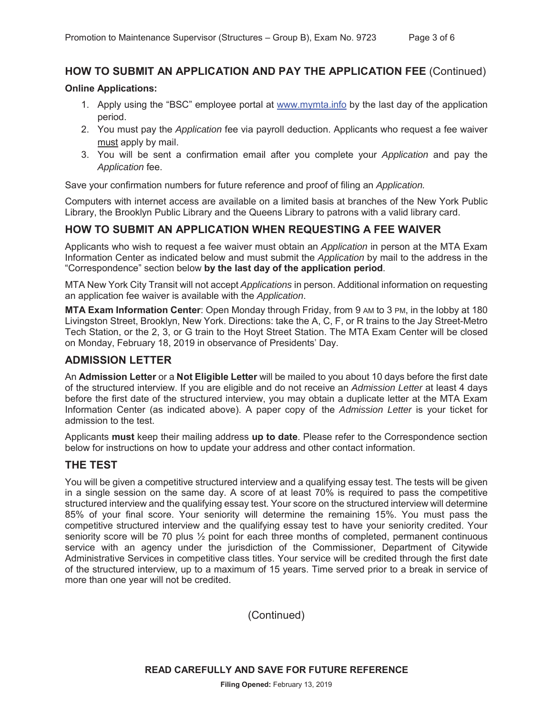## **HOW TO SUBMIT AN APPLICATION AND PAY THE APPLICATION FEE** (Continued)

#### **Online Applications:**

- 1. Apply using the "BSC" employee portal at www.mymta.info by the last day of the application period.
- 2. You must pay the *Application* fee via payroll deduction. Applicants who request a fee waiver must apply by mail.
- 3. You will be sent a confirmation email after you complete your *Application* and pay the *Application* fee.

Save your confirmation numbers for future reference and proof of filing an *Application.*

Computers with internet access are available on a limited basis at branches of the New York Public Library, the Brooklyn Public Library and the Queens Library to patrons with a valid library card.

## **HOW TO SUBMIT AN APPLICATION WHEN REQUESTING A FEE WAIVER**

Applicants who wish to request a fee waiver must obtain an *Application* in person at the MTA Exam Information Center as indicated below and must submit the *Application* by mail to the address in the "Correspondence" section below **by the last day of the application period**.

MTA New York City Transit will not accept *Applications* in person. Additional information on requesting an application fee waiver is available with the *Application*.

**MTA Exam Information Center**: Open Monday through Friday, from 9 AM to 3 PM, in the lobby at 180 Livingston Street, Brooklyn, New York. Directions: take the A, C, F, or R trains to the Jay Street-Metro Tech Station, or the 2, 3, or G train to the Hoyt Street Station. The MTA Exam Center will be closed on Monday, February 18, 2019 in observance of Presidents' Day.

#### **ADMISSION LETTER**

An **Admission Letter** or a **Not Eligible Letter** will be mailed to you about 10 days before the first date of the structured interview. If you are eligible and do not receive an *Admission Letter* at least 4 days before the first date of the structured interview, you may obtain a duplicate letter at the MTA Exam Information Center (as indicated above). A paper copy of the *Admission Letter* is your ticket for admission to the test.

Applicants **must** keep their mailing address **up to date**. Please refer to the Correspondence section below for instructions on how to update your address and other contact information.

#### **THE TEST**

You will be given a competitive structured interview and a qualifying essay test. The tests will be given in a single session on the same day. A score of at least 70% is required to pass the competitive structured interview and the qualifying essay test. Your score on the structured interview will determine 85% of your final score. Your seniority will determine the remaining 15%. You must pass the competitive structured interview and the qualifying essay test to have your seniority credited. Your seniority score will be 70 plus  $\frac{1}{2}$  point for each three months of completed, permanent continuous service with an agency under the jurisdiction of the Commissioner, Department of Citywide Administrative Services in competitive class titles. Your service will be credited through the first date of the structured interview, up to a maximum of 15 years. Time served prior to a break in service of more than one year will not be credited.

(Continued)

**READ CAREFULLY AND SAVE FOR FUTURE REFERENCE**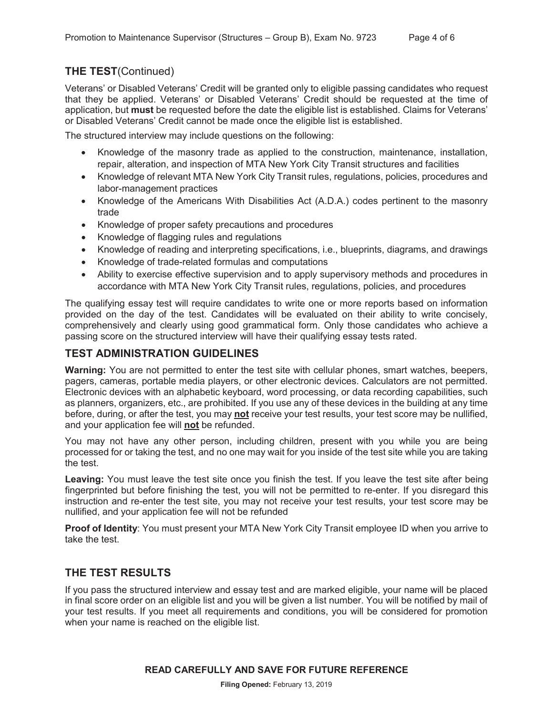## **THE TEST**(Continued)

Veterans' or Disabled Veterans' Credit will be granted only to eligible passing candidates who request that they be applied. Veterans' or Disabled Veterans' Credit should be requested at the time of application, but **must** be requested before the date the eligible list is established. Claims for Veterans' or Disabled Veterans' Credit cannot be made once the eligible list is established.

The structured interview may include questions on the following:

- Knowledge of the masonry trade as applied to the construction, maintenance, installation, repair, alteration, and inspection of MTA New York City Transit structures and facilities
- Knowledge of relevant MTA New York City Transit rules, regulations, policies, procedures and labor-management practices
- Knowledge of the Americans With Disabilities Act (A.D.A.) codes pertinent to the masonry trade
- Knowledge of proper safety precautions and procedures
- Knowledge of flagging rules and regulations
- Knowledge of reading and interpreting specifications, i.e., blueprints, diagrams, and drawings
- Knowledge of trade-related formulas and computations
- Ability to exercise effective supervision and to apply supervisory methods and procedures in accordance with MTA New York City Transit rules, regulations, policies, and procedures

The qualifying essay test will require candidates to write one or more reports based on information provided on the day of the test. Candidates will be evaluated on their ability to write concisely, comprehensively and clearly using good grammatical form. Only those candidates who achieve a passing score on the structured interview will have their qualifying essay tests rated.

#### **TEST ADMINISTRATION GUIDELINES**

**Warning:** You are not permitted to enter the test site with cellular phones, smart watches, beepers, pagers, cameras, portable media players, or other electronic devices. Calculators are not permitted. Electronic devices with an alphabetic keyboard, word processing, or data recording capabilities, such as planners, organizers, etc., are prohibited. If you use any of these devices in the building at any time before, during, or after the test, you may **not** receive your test results, your test score may be nullified, and your application fee will **not** be refunded.

You may not have any other person, including children, present with you while you are being processed for or taking the test, and no one may wait for you inside of the test site while you are taking the test.

**Leaving:** You must leave the test site once you finish the test. If you leave the test site after being fingerprinted but before finishing the test, you will not be permitted to re-enter. If you disregard this instruction and re-enter the test site, you may not receive your test results, your test score may be nullified, and your application fee will not be refunded

**Proof of Identity**: You must present your MTA New York City Transit employee ID when you arrive to take the test.

#### **THE TEST RESULTS**

If you pass the structured interview and essay test and are marked eligible, your name will be placed in final score order on an eligible list and you will be given a list number. You will be notified by mail of your test results. If you meet all requirements and conditions, you will be considered for promotion when your name is reached on the eligible list.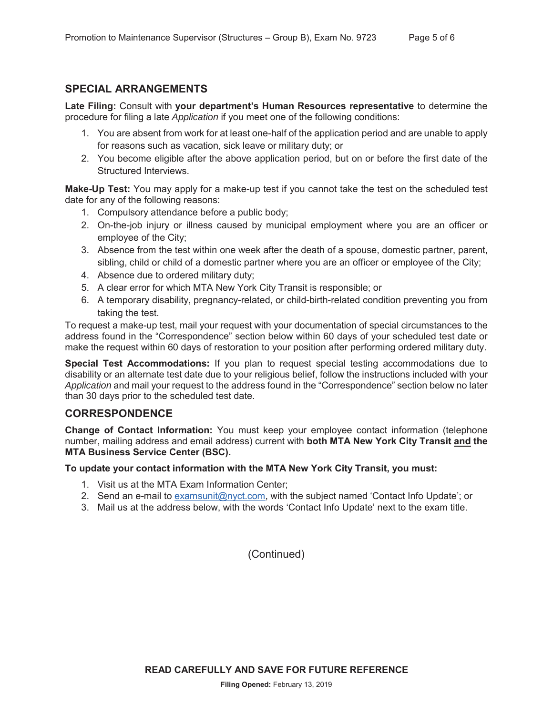#### **SPECIAL ARRANGEMENTS**

**Late Filing:** Consult with **your department's Human Resources representative** to determine the procedure for filing a late *Application* if you meet one of the following conditions:

- 1. You are absent from work for at least one-half of the application period and are unable to apply for reasons such as vacation, sick leave or military duty; or
- 2. You become eligible after the above application period, but on or before the first date of the Structured Interviews.

**Make-Up Test:** You may apply for a make-up test if you cannot take the test on the scheduled test date for any of the following reasons:

- 1. Compulsory attendance before a public body;
- 2. On-the-job injury or illness caused by municipal employment where you are an officer or employee of the City;
- 3. Absence from the test within one week after the death of a spouse, domestic partner, parent, sibling, child or child of a domestic partner where you are an officer or employee of the City;
- 4. Absence due to ordered military duty;
- 5. A clear error for which MTA New York City Transit is responsible; or
- 6. A temporary disability, pregnancy-related, or child-birth-related condition preventing you from taking the test.

To request a make-up test, mail your request with your documentation of special circumstances to the address found in the "Correspondence" section below within 60 days of your scheduled test date or make the request within 60 days of restoration to your position after performing ordered military duty.

**Special Test Accommodations:** If you plan to request special testing accommodations due to disability or an alternate test date due to your religious belief, follow the instructions included with your *Application* and mail your request to the address found in the "Correspondence" section below no later than 30 days prior to the scheduled test date.

#### **CORRESPONDENCE**

**Change of Contact Information:** You must keep your employee contact information (telephone number, mailing address and email address) current with **both MTA New York City Transit and the MTA Business Service Center (BSC).**

#### **To update your contact information with the MTA New York City Transit, you must:**

- 1. Visit us at the MTA Exam Information Center;
- 2. Send an e-mail to examsunit@nyct.com, with the subject named 'Contact Info Update'; or
- 3. Mail us at the address below, with the words 'Contact Info Update' next to the exam title.

(Continued)